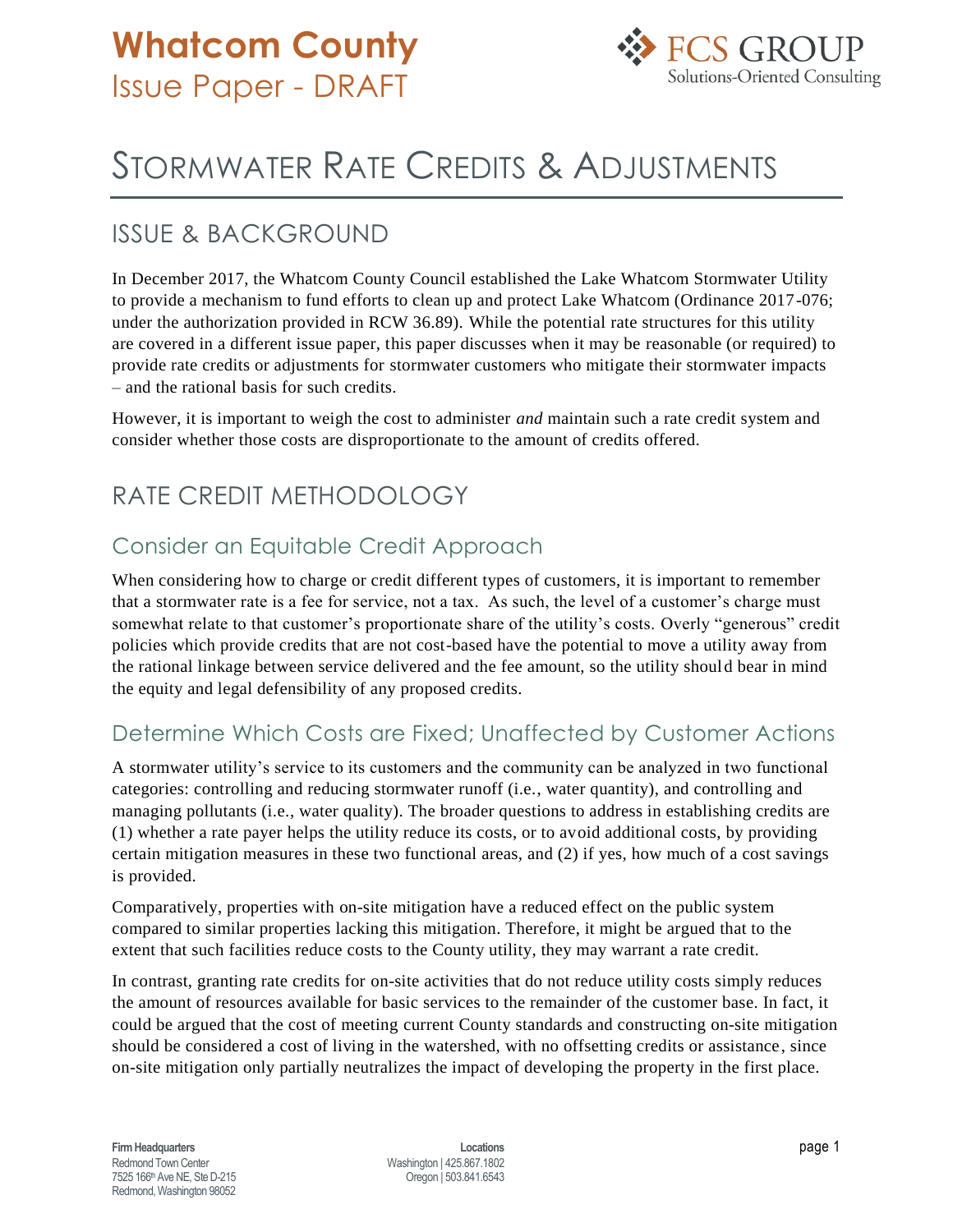

# STORMWATER RATE CREDITS & ADJUSTMENTS

### ISSUE & BACKGROUND

In December 2017, the Whatcom County Council established the Lake Whatcom Stormwater Utility to provide a mechanism to fund efforts to clean up and protect Lake Whatcom (Ordinance 2017-076; under the authorization provided in RCW 36.89). While the potential rate structures for this utility are covered in a different issue paper, this paper discusses when it may be reasonable (or required) to provide rate credits or adjustments for stormwater customers who mitigate their stormwater impacts – and the rational basis for such credits.

However, it is important to weigh the cost to administer *and* maintain such a rate credit system and consider whether those costs are disproportionate to the amount of credits offered.

# RATE CREDIT METHODOLOGY

#### Consider an Equitable Credit Approach

When considering how to charge or credit different types of customers, it is important to remember that a stormwater rate is a fee for service, not a tax. As such, the level of a customer's charge must somewhat relate to that customer's proportionate share of the utility's costs. Overly "generous" credit policies which provide credits that are not cost-based have the potential to move a utility away from the rational linkage between service delivered and the fee amount, so the utility should bear in mind the equity and legal defensibility of any proposed credits.

#### Determine Which Costs are Fixed; Unaffected by Customer Actions

A stormwater utility's service to its customers and the community can be analyzed in two functional categories: controlling and reducing stormwater runoff (i.e., water quantity), and controlling and managing pollutants (i.e., water quality). The broader questions to address in establishing credits are (1) whether a rate payer helps the utility reduce its costs, or to avoid additional costs, by providing certain mitigation measures in these two functional areas, and (2) if yes, how much of a cost savings is provided.

Comparatively, properties with on-site mitigation have a reduced effect on the public system compared to similar properties lacking this mitigation. Therefore, it might be argued that to the extent that such facilities reduce costs to the County utility, they may warrant a rate credit.

In contrast, granting rate credits for on-site activities that do not reduce utility costs simply reduces the amount of resources available for basic services to the remainder of the customer base. In fact, it could be argued that the cost of meeting current County standards and constructing on-site mitigation should be considered a cost of living in the watershed, with no offsetting credits or assistance, since on-site mitigation only partially neutralizes the impact of developing the property in the first place.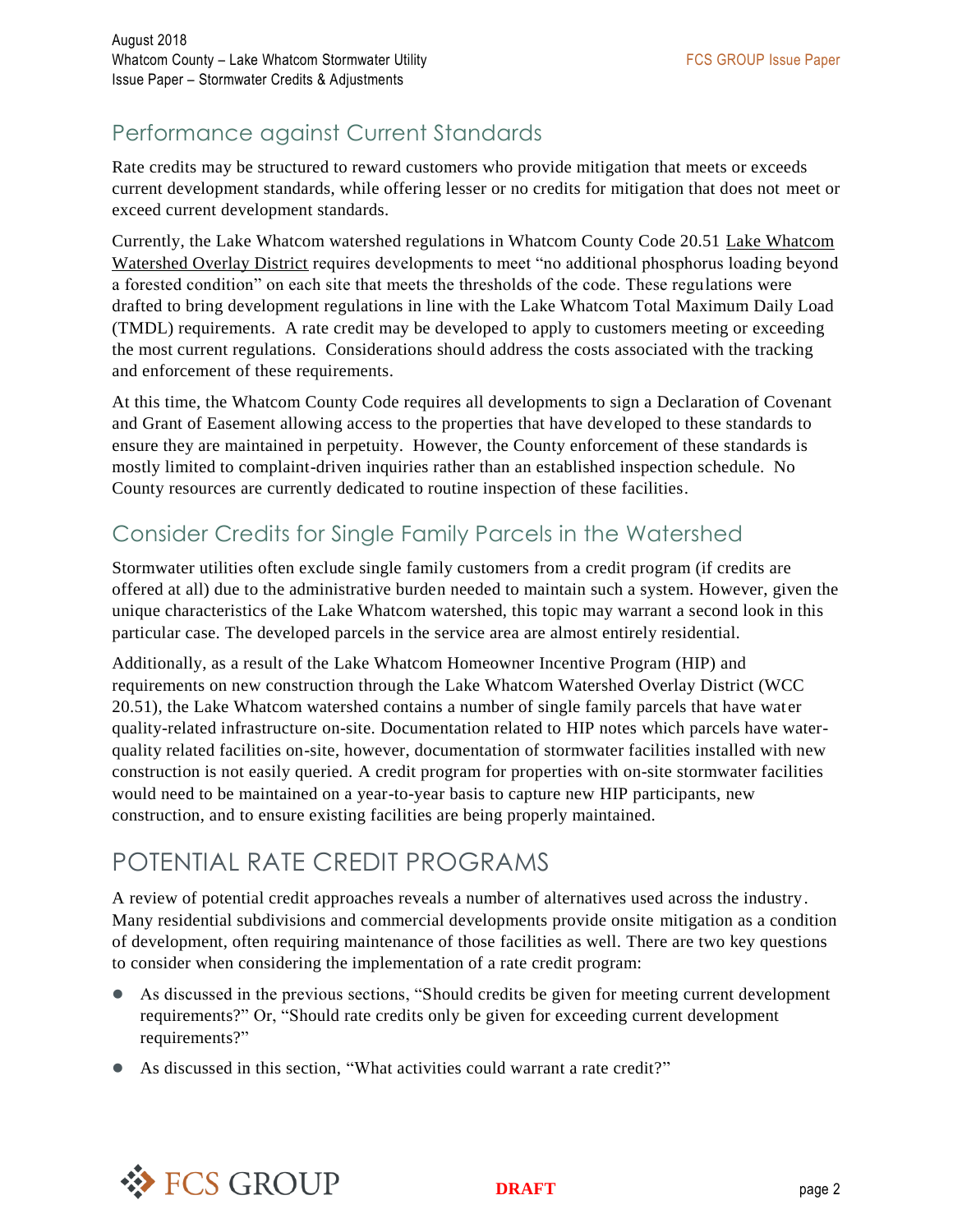### Performance against Current Standards

Rate credits may be structured to reward customers who provide mitigation that meets or exceeds current development standards, while offering lesser or no credits for mitigation that does not meet or exceed current development standards.

Currently, the Lake Whatcom watershed regulations in Whatcom County Code 20.51 Lake Whatcom Watershed Overlay District requires developments to meet "no additional phosphorus loading beyond a forested condition" on each site that meets the thresholds of the code. These regulations were drafted to bring development regulations in line with the Lake Whatcom Total Maximum Daily Load (TMDL) requirements. A rate credit may be developed to apply to customers meeting or exceeding the most current regulations. Considerations should address the costs associated with the tracking and enforcement of these requirements.

At this time, the Whatcom County Code requires all developments to sign a Declaration of Covenant and Grant of Easement allowing access to the properties that have developed to these standards to ensure they are maintained in perpetuity. However, the County enforcement of these standards is mostly limited to complaint-driven inquiries rather than an established inspection schedule. No County resources are currently dedicated to routine inspection of these facilities.

#### Consider Credits for Single Family Parcels in the Watershed

Stormwater utilities often exclude single family customers from a credit program (if credits are offered at all) due to the administrative burden needed to maintain such a system. However, given the unique characteristics of the Lake Whatcom watershed, this topic may warrant a second look in this particular case. The developed parcels in the service area are almost entirely residential.

Additionally, as a result of the Lake Whatcom Homeowner Incentive Program (HIP) and requirements on new construction through the Lake Whatcom Watershed Overlay District (WCC 20.51), the Lake Whatcom watershed contains a number of single family parcels that have water quality-related infrastructure on-site. Documentation related to HIP notes which parcels have waterquality related facilities on-site, however, documentation of stormwater facilities installed with new construction is not easily queried. A credit program for properties with on-site stormwater facilities would need to be maintained on a year-to-year basis to capture new HIP participants, new construction, and to ensure existing facilities are being properly maintained.

# POTENTIAL RATE CREDIT PROGRAMS

A review of potential credit approaches reveals a number of alternatives used across the industry. Many residential subdivisions and commercial developments provide onsite mitigation as a condition of development, often requiring maintenance of those facilities as well. There are two key questions to consider when considering the implementation of a rate credit program:

- As discussed in the previous sections, "Should credits be given for meeting current development requirements?" Or, "Should rate credits only be given for exceeding current development requirements?"
- As discussed in this section, "What activities could warrant a rate credit?"

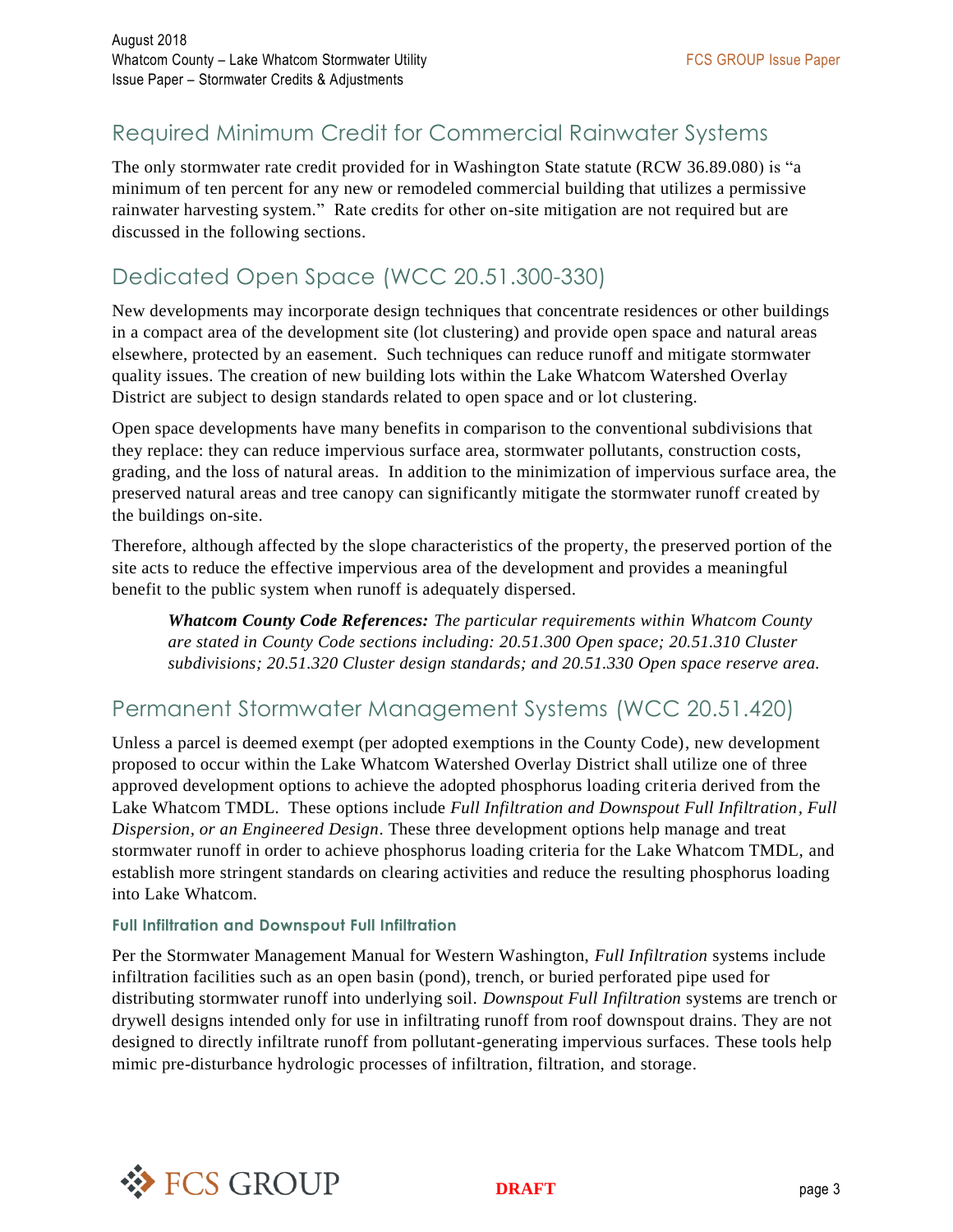### Required Minimum Credit for Commercial Rainwater Systems

The only stormwater rate credit provided for in Washington State statute (RCW 36.89.080) is "a minimum of ten percent for any new or remodeled commercial building that utilizes a permissive rainwater harvesting system." Rate credits for other on-site mitigation are not required but are discussed in the following sections.

### Dedicated Open Space (WCC 20.51.300-330)

New developments may incorporate design techniques that concentrate residences or other buildings in a compact area of the development site (lot clustering) and provide open space and natural areas elsewhere, protected by an easement. Such techniques can reduce runoff and mitigate stormwater quality issues. The creation of new building lots within the Lake Whatcom Watershed Overlay District are subject to design standards related to open space and or lot clustering.

Open space developments have many benefits in comparison to the conventional subdivisions that they replace: they can reduce impervious surface area, stormwater pollutants, construction costs, grading, and the loss of natural areas. In addition to the minimization of impervious surface area, the preserved natural areas and tree canopy can significantly mitigate the stormwater runoff created by the buildings on-site.

Therefore, although affected by the slope characteristics of the property, the preserved portion of the site acts to reduce the effective impervious area of the development and provides a meaningful benefit to the public system when runoff is adequately dispersed.

*Whatcom County Code References: The particular requirements within Whatcom County are stated in County Code sections including: 20.51.300 Open space; 20.51.310 Cluster subdivisions; 20.51.320 Cluster design standards; and 20.51.330 Open space reserve area.*

#### Permanent Stormwater Management Systems (WCC 20.51.420)

Unless a parcel is deemed exempt (per adopted exemptions in the County Code), new development proposed to occur within the Lake Whatcom Watershed Overlay District shall utilize one of three approved development options to achieve the adopted phosphorus loading criteria derived from the Lake Whatcom TMDL. These options include *Full Infiltration and Downspout Full Infiltration, Full Dispersion, or an Engineered Design*. These three development options help manage and treat stormwater runoff in order to achieve phosphorus loading criteria for the Lake Whatcom TMDL, and establish more stringent standards on clearing activities and reduce the resulting phosphorus loading into Lake Whatcom.

#### **Full Infiltration and Downspout Full Infiltration**

Per the Stormwater Management Manual for Western Washington, *Full Infiltration* systems include infiltration facilities such as an open basin (pond), trench, or buried perforated pipe used for distributing stormwater runoff into underlying soil. *Downspout Full Infiltration* systems are trench or drywell designs intended only for use in infiltrating runoff from roof downspout drains. They are not designed to directly infiltrate runoff from pollutant-generating impervious surfaces. These tools help mimic pre-disturbance hydrologic processes of infiltration, filtration, and storage.

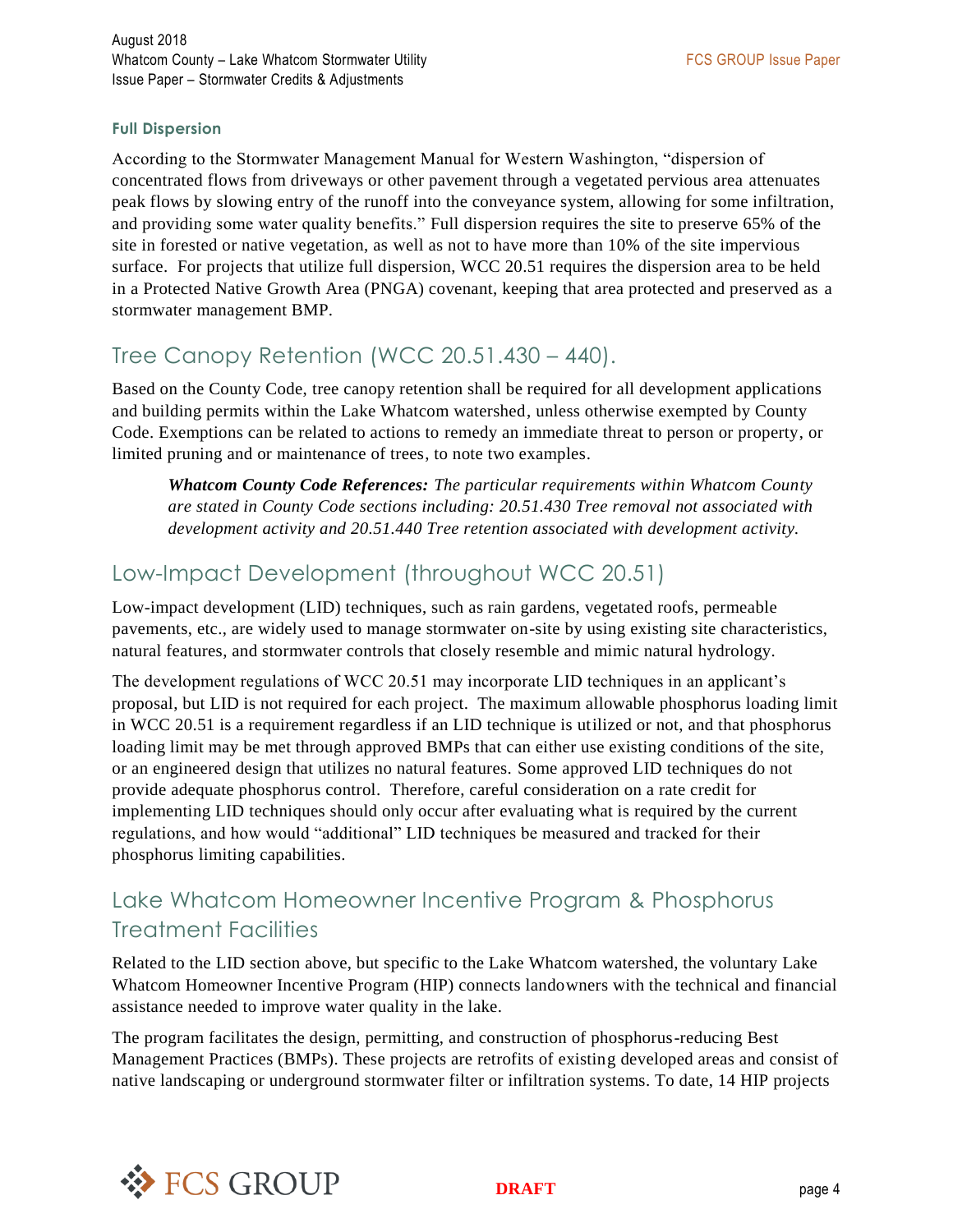#### **Full Dispersion**

According to the Stormwater Management Manual for Western Washington, "dispersion of concentrated flows from driveways or other pavement through a vegetated pervious area attenuates peak flows by slowing entry of the runoff into the conveyance system, allowing for some infiltration, and providing some water quality benefits." Full dispersion requires the site to preserve 65% of the site in forested or native vegetation, as well as not to have more than 10% of the site impervious surface. For projects that utilize full dispersion, WCC 20.51 requires the dispersion area to be held in a Protected Native Growth Area (PNGA) covenant, keeping that area protected and preserved as a stormwater management BMP.

#### Tree Canopy Retention (WCC 20.51.430 – 440).

Based on the County Code, tree canopy retention shall be required for all development applications and building permits within the Lake Whatcom watershed, unless otherwise exempted by County Code. Exemptions can be related to actions to remedy an immediate threat to person or property, or limited pruning and or maintenance of trees, to note two examples.

*Whatcom County Code References: The particular requirements within Whatcom County are stated in County Code sections including: 20.51.430 Tree removal not associated with development activity and 20.51.440 Tree retention associated with development activity.*

#### Low-Impact Development (throughout WCC 20.51)

Low-impact development (LID) techniques, such as rain gardens, vegetated roofs, permeable pavements, etc., are widely used to manage stormwater on-site by using existing site characteristics, natural features, and stormwater controls that closely resemble and mimic natural hydrology.

The development regulations of WCC 20.51 may incorporate LID techniques in an applicant's proposal, but LID is not required for each project. The maximum allowable phosphorus loading limit in WCC 20.51 is a requirement regardless if an LID technique is utilized or not, and that phosphorus loading limit may be met through approved BMPs that can either use existing conditions of the site, or an engineered design that utilizes no natural features. Some approved LID techniques do not provide adequate phosphorus control. Therefore, careful consideration on a rate credit for implementing LID techniques should only occur after evaluating what is required by the current regulations, and how would "additional" LID techniques be measured and tracked for their phosphorus limiting capabilities.

### Lake Whatcom Homeowner Incentive Program & Phosphorus Treatment Facilities

Related to the LID section above, but specific to the Lake Whatcom watershed, the voluntary Lake Whatcom Homeowner Incentive Program (HIP) connects landowners with the technical and financial assistance needed to improve water quality in the lake.

The program facilitates the design, permitting, and construction of phosphorus-reducing Best Management Practices (BMPs). These projects are retrofits of existing developed areas and consist of native landscaping or underground stormwater filter or infiltration systems. To date, 14 HIP projects

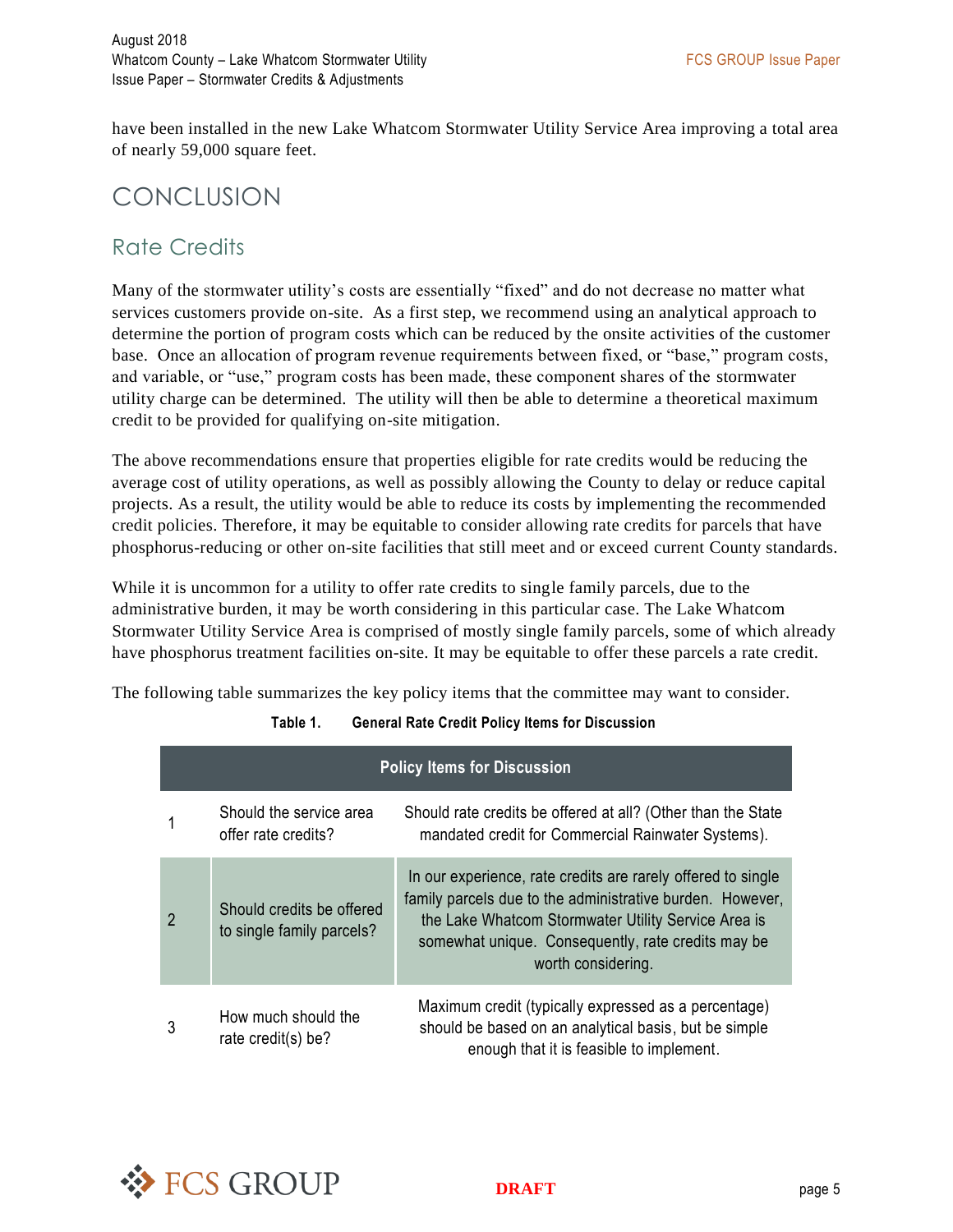have been installed in the new Lake Whatcom Stormwater Utility Service Area improving a total area of nearly 59,000 square feet.

### **CONCLUSION**

#### Rate Credits

Many of the stormwater utility's costs are essentially "fixed" and do not decrease no matter what services customers provide on-site. As a first step, we recommend using an analytical approach to determine the portion of program costs which can be reduced by the onsite activities of the customer base. Once an allocation of program revenue requirements between fixed, or "base," program costs, and variable, or "use," program costs has been made, these component shares of the stormwater utility charge can be determined. The utility will then be able to determine a theoretical maximum credit to be provided for qualifying on-site mitigation.

The above recommendations ensure that properties eligible for rate credits would be reducing the average cost of utility operations, as well as possibly allowing the County to delay or reduce capital projects. As a result, the utility would be able to reduce its costs by implementing the recommended credit policies. Therefore, it may be equitable to consider allowing rate credits for parcels that have phosphorus-reducing or other on-site facilities that still meet and or exceed current County standards.

While it is uncommon for a utility to offer rate credits to single family parcels, due to the administrative burden, it may be worth considering in this particular case. The Lake Whatcom Stormwater Utility Service Area is comprised of mostly single family parcels, some of which already have phosphorus treatment facilities on-site. It may be equitable to offer these parcels a rate credit.

The following table summarizes the key policy items that the committee may want to consider.

| <b>Policy Items for Discussion</b> |                                                        |                                                                                                                                                                                                                                                              |  |  |  |  |
|------------------------------------|--------------------------------------------------------|--------------------------------------------------------------------------------------------------------------------------------------------------------------------------------------------------------------------------------------------------------------|--|--|--|--|
|                                    | Should the service area<br>offer rate credits?         | Should rate credits be offered at all? (Other than the State<br>mandated credit for Commercial Rainwater Systems).                                                                                                                                           |  |  |  |  |
| $\overline{2}$                     | Should credits be offered<br>to single family parcels? | In our experience, rate credits are rarely offered to single<br>family parcels due to the administrative burden. However,<br>the Lake Whatcom Stormwater Utility Service Area is<br>somewhat unique. Consequently, rate credits may be<br>worth considering. |  |  |  |  |
|                                    | How much should the<br>rate credit(s) be?              | Maximum credit (typically expressed as a percentage)<br>should be based on an analytical basis, but be simple<br>enough that it is feasible to implement.                                                                                                    |  |  |  |  |

**Table 1. General Rate Credit Policy Items for Discussion**

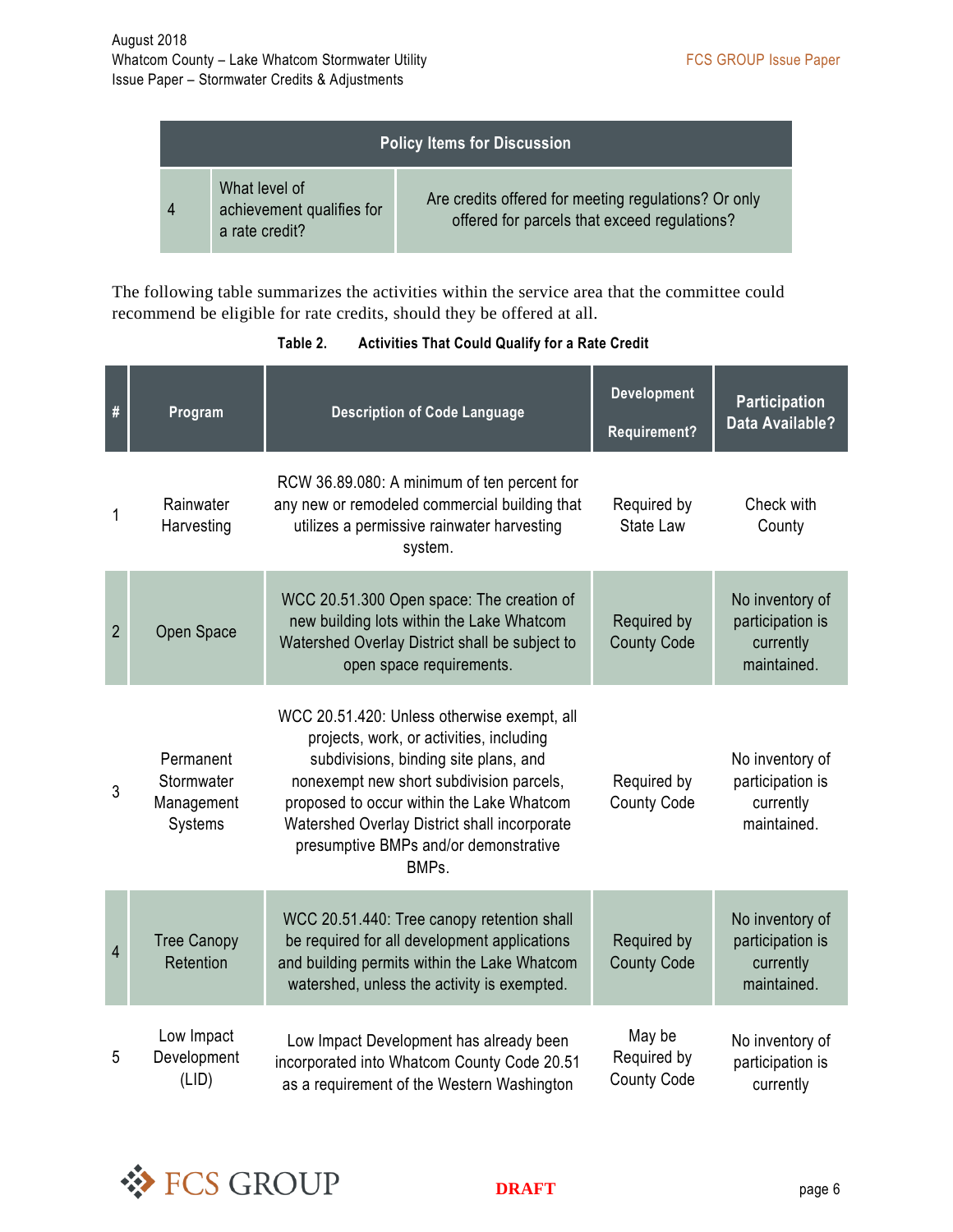| <b>Policy Items for Discussion</b> |                                                              |                                                                                                      |  |  |  |
|------------------------------------|--------------------------------------------------------------|------------------------------------------------------------------------------------------------------|--|--|--|
| 4                                  | What level of<br>achievement qualifies for<br>a rate credit? | Are credits offered for meeting regulations? Or only<br>offered for parcels that exceed regulations? |  |  |  |

The following table summarizes the activities within the service area that the committee could recommend be eligible for rate credits, should they be offered at all.

| #              | Program                                          | <b>Description of Code Language</b>                                                                                                                                                                                                                                                                                         | <b>Development</b><br><b>Requirement?</b>   | <b>Participation</b><br>Data Available?                         |
|----------------|--------------------------------------------------|-----------------------------------------------------------------------------------------------------------------------------------------------------------------------------------------------------------------------------------------------------------------------------------------------------------------------------|---------------------------------------------|-----------------------------------------------------------------|
| 1              | Rainwater<br>Harvesting                          | RCW 36.89.080: A minimum of ten percent for<br>any new or remodeled commercial building that<br>utilizes a permissive rainwater harvesting<br>system.                                                                                                                                                                       | Required by<br><b>State Law</b>             | Check with<br>County                                            |
| $\overline{2}$ | Open Space                                       | WCC 20.51.300 Open space: The creation of<br>new building lots within the Lake Whatcom<br>Watershed Overlay District shall be subject to<br>open space requirements.                                                                                                                                                        | Required by<br><b>County Code</b>           | No inventory of<br>participation is<br>currently<br>maintained. |
| $\mathfrak{Z}$ | Permanent<br>Stormwater<br>Management<br>Systems | WCC 20.51.420: Unless otherwise exempt, all<br>projects, work, or activities, including<br>subdivisions, binding site plans, and<br>nonexempt new short subdivision parcels,<br>proposed to occur within the Lake Whatcom<br>Watershed Overlay District shall incorporate<br>presumptive BMPs and/or demonstrative<br>BMPs. | Required by<br><b>County Code</b>           | No inventory of<br>participation is<br>currently<br>maintained. |
| 4              | <b>Tree Canopy</b><br>Retention                  | WCC 20.51.440: Tree canopy retention shall<br>be required for all development applications<br>and building permits within the Lake Whatcom<br>watershed, unless the activity is exempted.                                                                                                                                   | Required by<br><b>County Code</b>           | No inventory of<br>participation is<br>currently<br>maintained. |
| 5              | Low Impact<br>Development<br>(LID)               | Low Impact Development has already been<br>incorporated into Whatcom County Code 20.51<br>as a requirement of the Western Washington                                                                                                                                                                                        | May be<br>Required by<br><b>County Code</b> | No inventory of<br>participation is<br>currently                |

**Table 2. Activities That Could Qualify for a Rate Credit**



**DRAFT** page 6